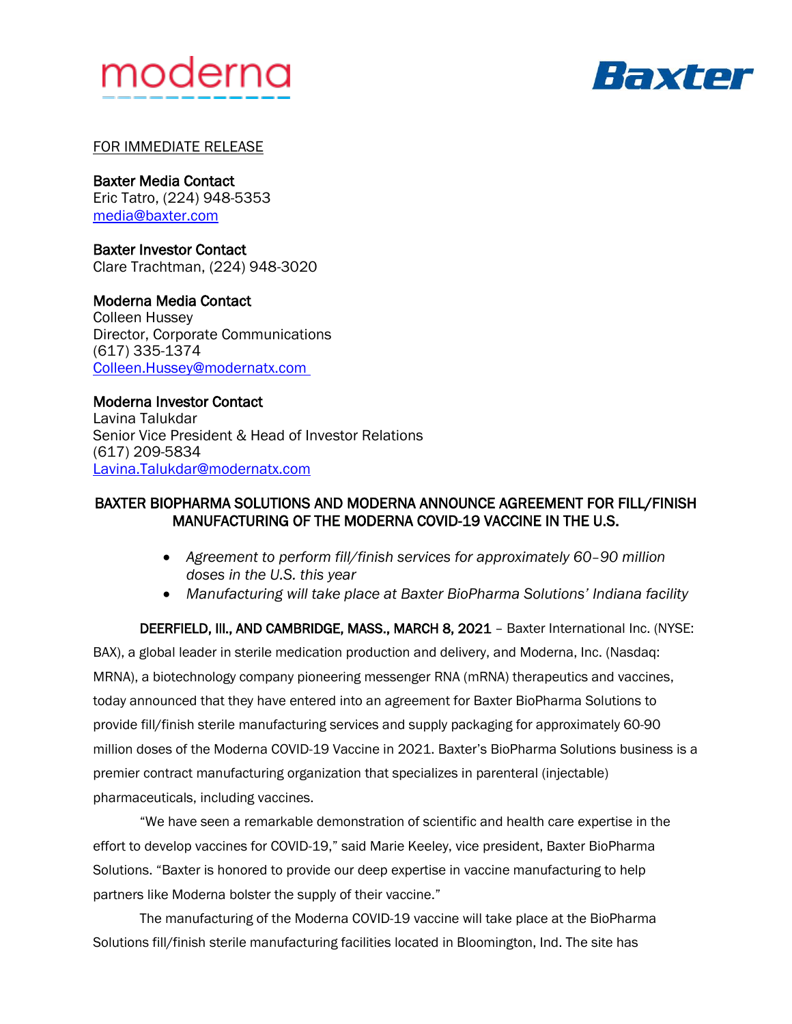



## FOR IMMEDIATE RELEASE

### Baxter Media Contact

Eric Tatro, (224) 948-5353 [media@baxter.com](mailto:media@baxter.com)

Baxter Investor Contact

Clare Trachtman, (224) 948-3020

Moderna Media Contact Colleen Hussey Director, Corporate Communications (617) 335-1374 [Colleen.Hussey@modernatx.com](mailto:Colleen.Hussey@modernatx.com)

Moderna Investor Contact Lavina Talukdar Senior Vice President & Head of Investor Relations (617) 209-5834 [Lavina.Talukdar@modernatx.com](mailto:Lavina.Talukdar@modernatx.com)

## BAXTER BIOPHARMA SOLUTIONS AND MODERNA ANNOUNCE AGREEMENT FOR FILL/FINISH MANUFACTURING OF THE MODERNA COVID-19 VACCINE IN THE U.S.

- *Agreement to perform fill/finish services for approximately 60*–*90 million doses in the U.S. this year*
- *Manufacturing will take place at Baxter BioPharma Solutions' Indiana facility*

DEERFIELD, Ill., AND CAMBRIDGE, MASS., MARCH 8, 2021 – Baxter International Inc. (NYSE: BAX), a global leader in sterile medication production and delivery, and Moderna, Inc. (Nasdaq: MRNA), a biotechnology company pioneering messenger RNA (mRNA) therapeutics and vaccines, today announced that they have entered into an agreement for Baxter BioPharma Solutions to provide fill/finish sterile manufacturing services and supply packaging for approximately 60-90 million doses of the Moderna COVID-19 Vaccine in 2021. Baxter's BioPharma Solutions business is a premier contract manufacturing organization that specializes in parenteral (injectable) pharmaceuticals, including vaccines.

"We have seen a remarkable demonstration of scientific and health care expertise in the effort to develop vaccines for COVID-19," said Marie Keeley, vice president, Baxter BioPharma Solutions. "Baxter is honored to provide our deep expertise in vaccine manufacturing to help partners like Moderna bolster the supply of their vaccine."

The manufacturing of the Moderna COVID-19 vaccine will take place at the BioPharma Solutions fill/finish sterile manufacturing facilities located in Bloomington, Ind. The site has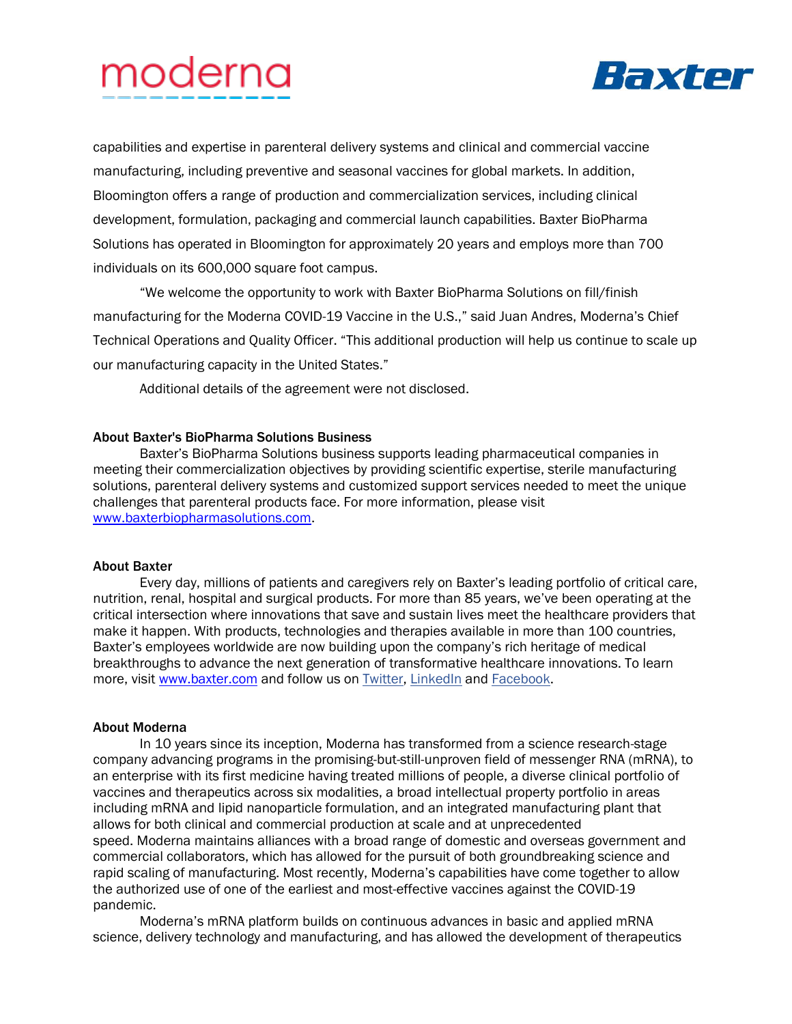# moderna



capabilities and expertise in parenteral delivery systems and clinical and commercial vaccine manufacturing, including preventive and seasonal vaccines for global markets. In addition, Bloomington offers a range of production and commercialization services, including clinical development, formulation, packaging and commercial launch capabilities. Baxter BioPharma Solutions has operated in Bloomington for approximately 20 years and employs more than 700 individuals on its 600,000 square foot campus.

"We welcome the opportunity to work with Baxter BioPharma Solutions on fill/finish manufacturing for the Moderna COVID-19 Vaccine in the U.S.," said Juan Andres, Moderna's Chief Technical Operations and Quality Officer. "This additional production will help us continue to scale up our manufacturing capacity in the United States."

Additional details of the agreement were not disclosed.

#### About Baxter's BioPharma Solutions Business

Baxter's BioPharma Solutions business supports leading pharmaceutical companies in meeting their commercialization objectives by providing scientific expertise, sterile manufacturing solutions, parenteral delivery systems and customized support services needed to meet the unique challenges that parenteral products face. For more information, please visit [www.baxterbiopharmasolutions.com.](http://www.baxterbiopharmasolutions.com/)

#### About Baxter

Every day, millions of patients and caregivers rely on Baxter's leading portfolio of critical care, nutrition, renal, hospital and surgical products. For more than 85 years, we've been operating at the critical intersection where innovations that save and sustain lives meet the healthcare providers that make it happen. With products, technologies and therapies available in more than 100 countries, Baxter's employees worldwide are now building upon the company's rich heritage of medical breakthroughs to advance the next generation of transformative healthcare innovations. To learn more, visit [www.baxter.com](http://www.baxter.com/) and follow us on [Twitter,](https://twitter.com/baxter_intl?ref_src=twsrc%5Egoogle%7Ctwcamp%5Eserp%7Ctwgr%5Eauthor) [LinkedIn](https://www.linkedin.com/company/baxter-healthcare/) and [Facebook.](https://www.facebook.com/BaxterInternationalInc/)

#### About Moderna

In 10 years since its inception, Moderna has transformed from a science research-stage company advancing programs in the promising-but-still-unproven field of messenger RNA (mRNA), to an enterprise with its first medicine having treated millions of people, a diverse clinical portfolio of vaccines and therapeutics across six modalities, a broad intellectual property portfolio in areas including mRNA and lipid nanoparticle formulation, and an integrated manufacturing plant that allows for both clinical and commercial production at scale and at unprecedented speed. Moderna maintains alliances with a broad range of domestic and overseas government and commercial collaborators, which has allowed for the pursuit of both groundbreaking science and rapid scaling of manufacturing. Most recently, Moderna's capabilities have come together to allow the authorized use of one of the earliest and most-effective vaccines against the COVID-19 pandemic.

Moderna's mRNA platform builds on continuous advances in basic and applied mRNA science, delivery technology and manufacturing, and has allowed the development of therapeutics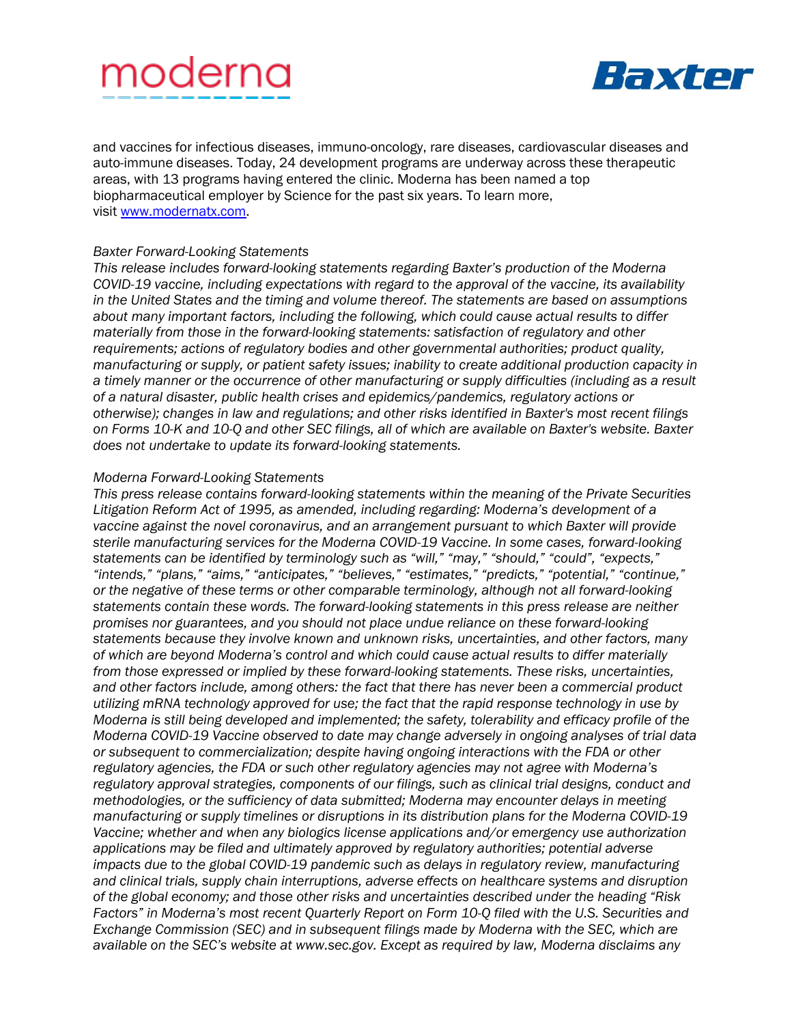## moderna



and vaccines for infectious diseases, immuno-oncology, rare diseases, cardiovascular diseases and auto-immune diseases. Today, 24 development programs are underway across these therapeutic areas, with 13 programs having entered the clinic. Moderna has been named a top biopharmaceutical employer by Science for the past six years. To learn more, visit [www.modernatx.com.](https://cts.businesswire.com/ct/CT?id=smartlink&url=http%3A%2F%2Fwww.modernatx.com&esheet=52360476&newsitemid=20210112005612&lan=en-US&anchor=www.modernatx.com&index=3&md5=06853caa4cf588d52c63e2aab38f5d00)

#### *Baxter Forward-Looking Statements*

*This release includes forward-looking statements regarding Baxter's production of the Moderna COVID-19 vaccine, including expectations with regard to the approval of the vaccine, its availability in the United States and the timing and volume thereof. The statements are based on assumptions about many important factors, including the following, which could cause actual results to differ materially from those in the forward-looking statements: satisfaction of regulatory and other requirements; actions of regulatory bodies and other governmental authorities; product quality, manufacturing or supply, or patient safety issues; inability to create additional production capacity in a timely manner or the occurrence of other manufacturing or supply difficulties (including as a result of a natural disaster, public health crises and epidemics/pandemics, regulatory actions or otherwise); changes in law and regulations; and other risks identified in Baxter's most recent filings on Forms 10-K and 10-Q and other SEC filings, all of which are available on Baxter's website. Baxter does not undertake to update its forward-looking statements.*

#### *Moderna Forward-Looking Statements*

*This press release contains forward-looking statements within the meaning of the Private Securities Litigation Reform Act of 1995, as amended, including regarding: Moderna's development of a vaccine against the novel coronavirus, and an arrangement pursuant to which Baxter will provide sterile manufacturing services for the Moderna COVID-19 Vaccine. In some cases, forward-looking statements can be identified by terminology such as "will," "may," "should," "could", "expects," "intends," "plans," "aims," "anticipates," "believes," "estimates," "predicts," "potential," "continue," or the negative of these terms or other comparable terminology, although not all forward-looking statements contain these words. The forward-looking statements in this press release are neither promises nor guarantees, and you should not place undue reliance on these forward-looking statements because they involve known and unknown risks, uncertainties, and other factors, many of which are beyond Moderna's control and which could cause actual results to differ materially from those expressed or implied by these forward-looking statements. These risks, uncertainties, and other factors include, among others: the fact that there has never been a commercial product utilizing mRNA technology approved for use; the fact that the rapid response technology in use by Moderna is still being developed and implemented; the safety, tolerability and efficacy profile of the Moderna COVID-19 Vaccine observed to date may change adversely in ongoing analyses of trial data or subsequent to commercialization; despite having ongoing interactions with the FDA or other regulatory agencies, the FDA or such other regulatory agencies may not agree with Moderna's regulatory approval strategies, components of our filings, such as clinical trial designs, conduct and methodologies, or the sufficiency of data submitted; Moderna may encounter delays in meeting manufacturing or supply timelines or disruptions in its distribution plans for the Moderna COVID-19 Vaccine; whether and when any biologics license applications and/or emergency use authorization applications may be filed and ultimately approved by regulatory authorities; potential adverse impacts due to the global COVID-19 pandemic such as delays in regulatory review, manufacturing and clinical trials, supply chain interruptions, adverse effects on healthcare systems and disruption of the global economy; and those other risks and uncertainties described under the heading "Risk Factors" in Moderna's most recent Quarterly Report on Form 10-Q filed with the U.S. Securities and Exchange Commission (SEC) and in subsequent filings made by Moderna with the SEC, which are available on the SEC's website at www.sec.gov. Except as required by law, Moderna disclaims any*